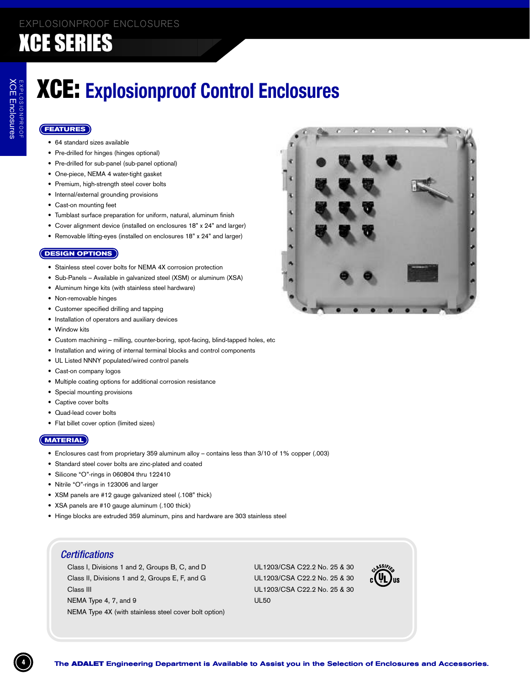# **XCE: Explosionproof Control Enclosures**

### **(FEATURES)**

- 64 standard sizes available
- Pre-drilled for hinges (hinges optional)
- Pre-drilled for sub-panel (sub-panel optional)
- One-piece, NEMA 4 water-tight gasket
- Premium, high-strength steel cover bolts
- Internal/external grounding provisions
- Cast-on mounting feet
- Tumblast surface preparation for uniform, natural, aluminum finish
- Cover alignment device (installed on enclosures 18" x 24" and larger)
- Removable lifting-eyes (installed on enclosures 18" x 24" and larger)

### **(DESIGN OPTIONS)**

- Stainless steel cover bolts for NEMA 4X corrosion protection
- Sub-Panels Available in galvanized steel (XSM) or aluminum (XSA)
- Aluminum hinge kits (with stainless steel hardware)
- Non-removable hinges
- Customer specified drilling and tapping
- Installation of operators and auxiliary devices
- Window kits
- Custom machining milling, counter-boring, spot-facing, blind-tapped holes, etc
- Installation and wiring of internal terminal blocks and control components
- UL Listed NNNY populated/wired control panels
- Cast-on company logos
- Multiple coating options for additional corrosion resistance
- Special mounting provisions
- Captive cover bolts
- Quad-lead cover bolts
- Flat billet cover option (limited sizes)

### $(MATERIAL)$

- Enclosures cast from proprietary 359 aluminum alloy contains less than 3/10 of 1% copper (.003)
- Standard steel cover bolts are zinc-plated and coated
- · Silicone "O"-rings in 060804 thru 122410
- Nitrile "O"-rings in 123006 and larger
- XSM panels are #12 gauge galvanized steel (.108" thick)
- XSA panels are #10 gauge aluminum (.100 thick)
- Hinge blocks are extruded 359 aluminum, pins and hardware are 303 stainless steel

### **Certifications**

Class I, Divisions 1 and 2, Groups B, C, and D Class II, Divisions 1 and 2, Groups E, F, and G Class III NEMA Type 4, 7, and 9 NEMA Type 4X (with stainless steel cover bolt option)

UL1203/CSA C22.2 No. 25 & 30 UL1203/CSA C22.2 No. 25 & 30 UL1203/CSA C22.2 No. 25 & 30 **UL50** 



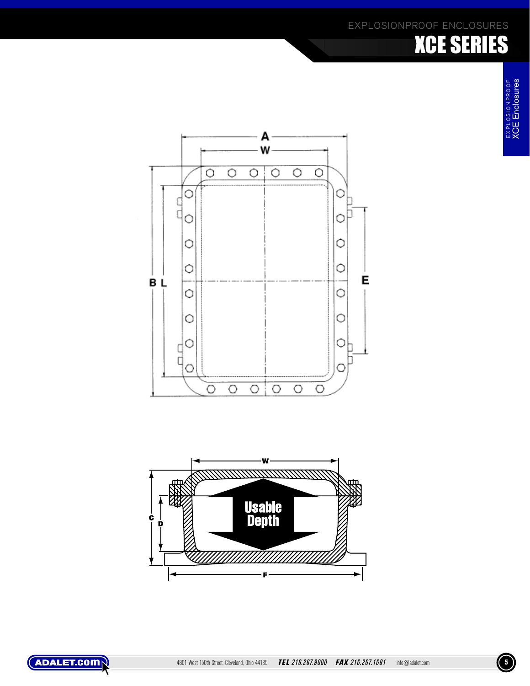# **XCE** Enclosures EXPLOSIONPROOF<br>**XCE Enclosures** E X P L O S I O N P R O O F EXPLOSIONPROOF<br>XCE Enclosures

EXPLOSIONPROOF ENCLOSURES

XCE SERIES





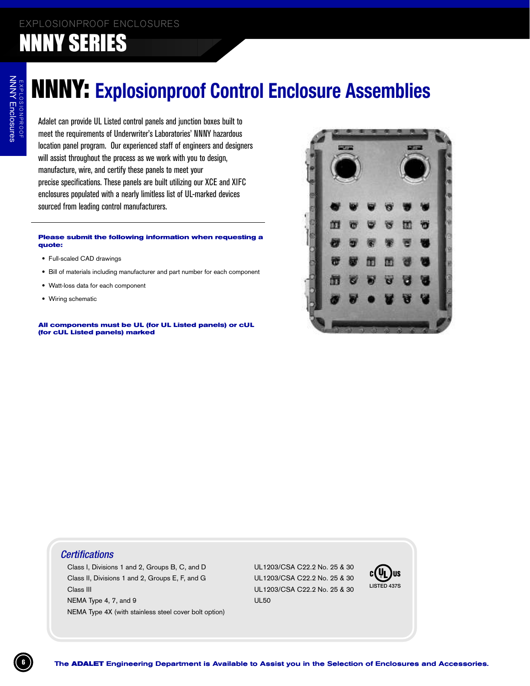### NNNY SERIES

# NNNY: **Explosionproof Control Enclosure Assemblies**

Adalet can provide UL Listed control panels and junction boxes built to meet the requirements of Underwriter's Laboratories' NNNY hazardous location panel program. Our experienced staff of engineers and designers will assist throughout the process as we work with you to design, manufacture, wire, and certify these panels to meet your precise specifications. These panels are built utilizing our XCE and XIFC enclosures populated with a nearly limitless list of UL-marked devices sourced from leading control manufacturers.

#### **Please submit the following information when requesting a quote:**

- Full-scaled CAD drawings
- Bill of materials including manufacturer and part number for each component
- Watt-loss data for each component
- Wiring schematic

**All components must be UL (for UL Listed panels) or cUL (for cUL Listed panels) marked**



### **Certifications**

Class I, Divisions 1 and 2, Groups B, C Class II, Divisions 1 and 2, Groups E, F, and G UL1203/C Class III الماد المسابق المسابق المسابق المسابق المسابق المسابق المسابق المسابق المسابق المسابق المسابق المسابق المسابق NEMA Type 4, 7, and 9 and 10 km s and 10 km s and 10 km s and 10 km s and 10 km s and 10 km s and 10 km s and 1 NEMA Type 4X (with stainless steel cover bolt option)

, and D UL1203/CSA C22.2 No. 25 & 30 SA C22.2 No. 25 & 30

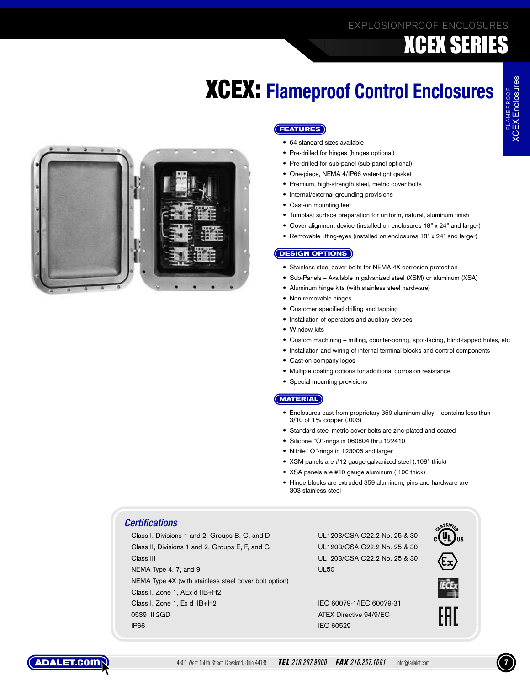# **XCEX: Flameproof Control Enclosures**



### **(FEATURES)**

- 64 standard sizes available
- Pre-drilled for hinges (hinges optional)
- Pre-drilled for sub-panel (sub-panel optional)
- One-piece, NEMA 4/IP66 water-tight gasket
- · Premium, high-strength steel, metric cover bolts
- Internal/external grounding provisions
- Cast-on mounting feet
- Tumblast surface preparation for uniform, natural, aluminum finish
- Cover alignment device (installed on enclosures 18" x 24" and larger)
- Removable lifting-eyes (installed on enclosures 18" x 24" and larger)

### **(DESIGN OPTIONS)**

- Stainless steel cover bolts for NEMA 4X corrosion protection
- Sub-Panels Available in galvanized steel (XSM) or aluminum (XSA)
- Aluminum hinge kits (with stainless steel hardware)
- Non-removable hinges
- Customer specified drilling and tapping
- Installation of operators and auxiliary devices
- Window kits
- Custom machining milling, counter-boring, spot-facing, blind-tapped holes, etc
- Installation and wiring of internal terminal blocks and control components
- Cast-on company logos
- Multiple coating options for additional corrosion resistance
- Special mounting provisions

### (MATERIAL)

- Enclosures cast from proprietary 359 aluminum alloy contains less than 3/10 of 1% copper (.003)
- Standard steel metric cover bolts are zinc-plated and coated
- Silicone "O"-rings in 060804 thru 122410
- Nitrile "O"-rings in 123006 and larger
- XSM panels are #12 gauge galvanized steel (.108" thick)
- XSA panels are #10 gauge aluminum (.100 thick)
- Hinge blocks are extruded 359 aluminum, pins and hardware are 303 stainless steel

### **Certifications**

Class I, Divisions 1 and 2, Groups B, C, and D Class II, Divisions 1 and 2, Groups E, F, and G Class III NEMA Type 4, 7, and 9 NEMA Type 4X (with stainless steel cover bolt option) Class I, Zone 1, AEx d IIB+H2 Class I, Zone 1, Ex d IIB+H2 0539 II 2GD **IP66** 

UL1203/CSA C22.2 No. 25 & 30 UL1203/CSA C22.2 No. 25 & 30 UL1203/CSA C22.2 No. 25 & 30 **UL50** 





EAL

IEC 60079-1/IEC 60079-31 ATEX Directive 94/9/EC IEC 60529

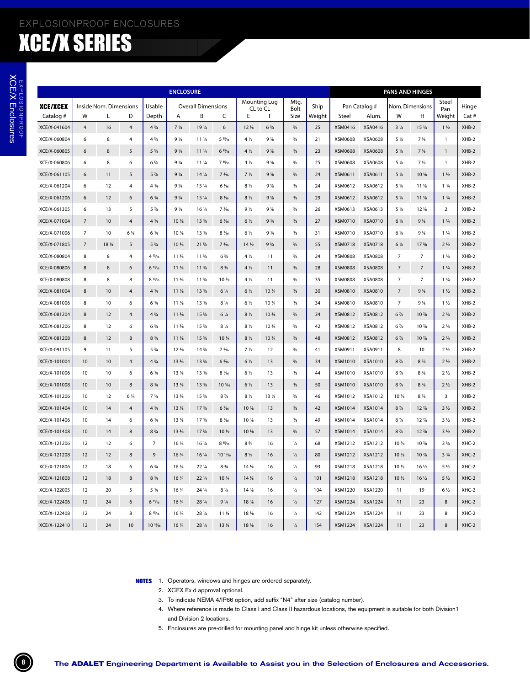|                 |                |                        |                |                                  | <b>ENCLOSURE</b>               |                                |                                |                                |                                |               |        |                |                | <b>PANS AND HINGES</b> |                                |                               |         |
|-----------------|----------------|------------------------|----------------|----------------------------------|--------------------------------|--------------------------------|--------------------------------|--------------------------------|--------------------------------|---------------|--------|----------------|----------------|------------------------|--------------------------------|-------------------------------|---------|
| <b>XCE/XCEX</b> |                | Inside Nom. Dimensions |                | Usable                           |                                | <b>Overall Dimensions</b>      |                                |                                | Mounting Lug<br>CL to CL       | Mtg.<br>Bolt  | Ship   |                | Pan Catalog #  |                        | Nom. Dimensions                | Steel<br>Pan                  | Hinge   |
| Catalog #       | W              | Г                      | D              | Depth                            | Α                              | B                              | C                              | E                              | F                              | Size          | Weight | Steel          | Alum.          | W                      | н                              | Weight                        | Cat #   |
| XCE/X-041604    | $\overline{4}$ | 16                     | $\overline{4}$ | $4\frac{3}{4}$                   | 7 <sup>1</sup> / <sub>4</sub>  | 19 1/4                         | 6                              | 12 <sub>8</sub>                | $6\frac{3}{4}$                 | $\frac{3}{8}$ | 25     | XSM0416        | XSA0416        | $3\frac{1}{4}$         | 15 1/4                         | 1 <sub>1</sub>                | $XHB-2$ |
| XCE/X-060804    | 6              | 8                      | 4              | $4\frac{5}{8}$                   | 9 <sup>1</sup> / <sub>4</sub>  | 11 1/4                         | 5 15/16                        | 4 1/2                          | 9 <sub>1</sub>                 | $\frac{3}{8}$ | 21     | XSM0608        | XSA0608        | 5 %                    | $7\frac{1}{8}$                 | $\mathbf{1}$                  | XHB-2   |
| XCE/X-060805    | 6              | 8                      | 5              | 5 %                              | 9 <sup>1</sup> / <sub>4</sub>  | 11 1/4                         | 615/16                         | $4\frac{1}{2}$                 | 9 <sub>1</sub>                 | $\frac{3}{8}$ | 23     | XSM0608        | XSA0608        | 5 %                    | $7\frac{1}{8}$                 | $\mathbf{1}$                  | $XHB-2$ |
| XCE/X-060806    | 6              | 8                      | 6              | $6\frac{5}{8}$                   | 9 <sub>1/4</sub>               | 11 1/4                         | 715/16                         | 4 1/2                          | 9 <sub>1</sub>                 | $\frac{3}{8}$ | 25     | XSM0608        | XSA0608        | 5 %                    | $7\frac{1}{8}$                 | $\mathbf{1}$                  | XHB-2   |
| XCE/X-061105    | 6              | 11                     | 5              | $5\frac{7}{8}$                   | $9\frac{1}{4}$                 | 14 1/4                         | $7\frac{3}{16}$                | $7\frac{1}{2}$                 | 9 <sub>1</sub>                 | $\frac{3}{8}$ | 24     | XSM0611        | XSA0611        | $5\frac{1}{8}$         | 10 <sup>%</sup>                | 1 <sub>1</sub>                | XHB-2   |
| XCE/X-061204    | 6              | 12                     | 4              | $4\frac{3}{4}$                   | 9 <sup>1</sup> / <sub>4</sub>  | 15 1/4                         | 6 1/16                         | 8 1/2                          | 9 <sub>1</sub>                 | $\frac{3}{8}$ | 24     | XSM0612        | XSA0612        | 5 %                    | 11 <sub>18</sub>               | $1 \frac{3}{4}$               | $XHB-2$ |
| XCE/X-061206    | 6              | 12                     | 6              | $6\frac{3}{4}$                   | 9 <sup>1</sup> / <sub>4</sub>  | 15 1/4                         | 8 1/16                         | 8 <sub>2</sub>                 | 9 <sub>1</sub>                 | $\frac{3}{8}$ | 29     | XSM0612        | XSA0612        | $5\frac{1}{8}$         | 11 <sub>18</sub>               | $1 \frac{3}{4}$               | $XHB-2$ |
| XCE/X-061305    | 6              | 13                     | 5              | $5\frac{7}{8}$                   | $9\frac{1}{4}$                 | 16 1/4                         | 7 3/16                         | $9\frac{1}{2}$                 | 9 <sub>8</sub>                 | $\frac{3}{8}$ | 26     | XSM0613        | XSA0613        | 5 %                    | 12 %                           | $\overline{2}$                | XHB-2   |
| XCE/X-071004    | $\overline{7}$ | 10                     | 4              | $4\frac{3}{4}$                   | 10 <sup>3</sup> / <sub>8</sub> | 13 %                           | $6\frac{3}{16}$                | 6 <sub>1/2</sub>               | 9 <sup>3</sup> / <sub>4</sub>  | $\frac{3}{8}$ | 27     | XSM0710        | XSA0710        | $6\frac{1}{8}$         | $9\frac{1}{8}$                 | $1\frac{1}{4}$                | XHB-2   |
| XCE/X-071006    | $\overline{7}$ | 10                     | 6 1/8          | $6\frac{3}{4}$                   | 10 %                           | 13 %                           | 8 3/16                         | 6 1/2                          | 9 <sup>3</sup> / <sub>4</sub>  | $\frac{3}{8}$ | 31     | XSM0710        | XSA0710        | 6 1/8                  | $9\frac{1}{8}$                 | $1\frac{1}{4}$                | $XHB-2$ |
| XCE/X-071805    | $\overline{7}$ | 18 1/4                 | 5              | $5\frac{3}{4}$                   | 10 <sup>3</sup> / <sub>8</sub> | $21 \frac{5}{8}$               | 7 <sup>3</sup> / <sub>16</sub> | 14 <sub>2</sub>                | 9 <sup>3</sup> / <sub>4</sub>  | $\frac{3}{8}$ | 55     | XSM0718        | XSA0718        | $6\frac{1}{8}$         | 17 <sup>3</sup> / <sub>8</sub> | 2 <sub>2</sub>                | $XHB-2$ |
| XCE/X-080804    | 8              | 8                      | 4              | 4 13/16                          | 11 <sup>3</sup> / <sub>8</sub> | 11 <sup>3</sup> / <sub>8</sub> | $6\frac{3}{8}$                 | 4 1/2                          | 11                             | $\frac{3}{8}$ | 24     | <b>XSM0808</b> | <b>XSA0808</b> | $\overline{7}$         | $\overline{7}$                 | $1\frac{1}{4}$                | XHB-2   |
| XCE/X-080806    | 8              | $\,$ 8 $\,$            | 6              | 613/16                           | 11 <sup>3</sup> / <sub>8</sub> | 11 <sup>3</sup> / <sub>8</sub> | 8 %                            | $4\frac{1}{2}$                 | 11                             | $\frac{3}{8}$ | 28     | <b>XSM0808</b> | XSA0808        | $\overline{7}$         | $\overline{7}$                 | $1\frac{1}{4}$                | $XHB-2$ |
| XCE/X-080808    | 8              | 8                      | 8              | 813/16                           | 11 <sup>3</sup> / <sub>8</sub> | 11 %                           | 10 %                           | 4 1/2                          | 11                             | $\frac{3}{8}$ | 35     | <b>XSM0808</b> | XSA0808        | $\overline{7}$         | $\overline{7}$                 | $1\frac{1}{4}$                | $XHB-2$ |
| XCE/X-081004    | 8              | 10                     | $\overline{4}$ | $4 \frac{3}{4}$                  | 11 <sup>3</sup> / <sub>8</sub> | 13 <sup>3</sup> / <sub>8</sub> | $6\frac{1}{4}$                 | $6\frac{1}{2}$                 | 10 3/4                         | $\frac{3}{8}$ | 30     | XSM0810        | XSA0810        | $\overline{7}$         | $9\frac{1}{8}$                 | 1 <sub>1</sub>                | $XHB-2$ |
| XCE/X-081006    | 8              | 10                     | 6              | 6 <sup>3</sup> / <sub>4</sub>    | 11 <sup>3</sup> / <sub>8</sub> | 13 %                           | $8\frac{1}{4}$                 | 6 1/2                          | 10 3/4                         | $\frac{3}{8}$ | 34     | XSM0810        | XSA0810        | $\overline{7}$         | $9\frac{1}{8}$                 | $1\frac{1}{2}$                | XHB-2   |
| XCE/X-081204    | 8              | 12                     | $\overline{4}$ | $4\frac{3}{4}$                   | 11 <sup>3</sup> / <sub>8</sub> | 15 %                           | $6\frac{1}{4}$                 | 8 <sub>2</sub>                 | 10 <sup>3</sup> / <sub>4</sub> | $\frac{3}{8}$ | 34     | XSM0812        | XSA0812        | $6\frac{7}{8}$         | $10\%$                         | 2 <sup>1</sup> / <sub>4</sub> | $XHB-2$ |
| XCE/X-081206    | 8              | 12                     | 6              | $6\frac{3}{4}$                   | 11 <sup>3</sup> / <sub>8</sub> | 15 %                           | 8 1/4                          | 8 1/2                          | 10 3/4                         | $\frac{3}{8}$ | 42     | XSM0812        | XSA0812        | $6\frac{7}{8}$         | 10 %                           | $2\frac{1}{4}$                | XHB-2   |
| XCE/X-081208    | 8              | 12                     | 8              | $8\frac{3}{4}$                   | 11 <sup>3</sup> / <sub>8</sub> | 15 %                           | 10 1/4                         | $8\frac{1}{2}$                 | 10 3/4                         | $\frac{3}{8}$ | 48     | XSM0812        | XSA0812        | $6\frac{7}{8}$         | 10 %                           | $2\frac{1}{4}$                | $XHB-2$ |
| XCE/X-091105    | 9              | 11                     | 5              | 5 <sup>3</sup> / <sub>4</sub>    | 12 <sup>3</sup> / <sub>8</sub> | 14 %                           | 7.5/16                         | 7 <sub>1/2</sub>               | 12                             | $\frac{3}{8}$ | 41     | XSM0911        | XSA0911        | 8                      | 10                             | 2 <sub>2</sub>                | XHB-2   |
| XCE/X-101004    | 10             | 10                     | 4              | $4\frac{3}{4}$                   | 13 <sup>3</sup> / <sub>8</sub> | 13 <sup>3</sup> / <sub>8</sub> | 6 %                            | 6 <sub>2</sub>                 | 13                             | $\frac{3}{8}$ | 34     | XSM1010        | XSA1010        | $8\frac{7}{8}$         | $8\frac{7}{8}$                 | 2 <sub>2</sub>                | $XHB-2$ |
| XCE/X-101006    | 10             | 10                     | 6              | $6\frac{3}{4}$                   | 13 <sup>3</sup> / <sub>8</sub> | 13 %                           | 8 %                            | 6 <sub>1/2</sub>               | 13                             | $\frac{3}{8}$ | 44     | XSM1010        | XSA1010        | $8\frac{7}{8}$         | $8\frac{7}{8}$                 | 2 <sub>2</sub>                | XHB-2   |
| XCE/X-101008    | 10             | 10                     | 8              | 8 <sup>3</sup> / <sub>4</sub>    | 13 %                           | 13 %                           | 10 %                           | $6\frac{1}{2}$                 | 13                             | $\frac{3}{8}$ | 50     | XSM1010        | XSA1010        | $8\frac{7}{8}$         | $8\frac{7}{8}$                 | 2 <sub>2</sub>                | $XHB-2$ |
| XCE/X-101206    | 10             | 12                     | $6\frac{1}{4}$ | 7 <sup>1</sup> / <sub>4</sub>    | 13 <sup>3</sup> / <sub>8</sub> | 15 %                           | $8\frac{7}{8}$                 | 8 1/2                          | 13 1/4                         | $\frac{3}{8}$ | 46     | XSM1012        | XSA1012        | 10 %                   | $8\frac{7}{8}$                 | 3                             | XHB-2   |
| XCE/X-101404    | 10             | 14                     | 4              | $4\frac{3}{4}$                   | 13 <sup>3</sup> / <sub>8</sub> | 17 <sup>3</sup> / <sub>8</sub> | 6 1/16                         | 10 %                           | 13                             | $\frac{3}{8}$ | 42     | <b>XSM1014</b> | XSA1014        | $8\frac{7}{8}$         | $12\frac{7}{8}$                | $3\frac{1}{2}$                | $XHB-2$ |
| XCE/X-101406    | 10             | 14                     | 6              | 6 <sup>3</sup> / <sub>4</sub>    | 13 <sup>3</sup> / <sub>8</sub> | 17 <sup>3</sup> / <sub>8</sub> | 8 1/16                         | 10 %                           | 13                             | $\frac{3}{8}$ | 49     | XSM1014        | XSA1014        | $8\frac{7}{8}$         | $12\frac{7}{8}$                | $3\frac{1}{2}$                | XHB-2   |
| XCE/X-101408    | 10             | 14                     | 8              | $8\frac{3}{4}$                   | 13 %                           | 17 <sup>3</sup> / <sub>8</sub> | 10 1/2                         | 10 %                           | 13                             | $\frac{3}{8}$ | 57     | XSM1014        | XSA1014        | $8\frac{7}{8}$         | $12\frac{7}{8}$                | $3\frac{1}{2}$                | $XHB-2$ |
| XCE/X-121206    | 12             | 12                     | 6              | $\overline{7}$                   | 16 1/4                         | 16 1/4                         | 815/6                          | $8\frac{5}{6}$                 | 16                             | $\frac{1}{2}$ | 68     | XSM1212        | XSA1212        | 10 %                   | 10 %                           | 3 <sup>3</sup> / <sub>4</sub> | $XHC-2$ |
| XCE/X-121208    | 12             | 12                     | 8              | $\mathsf g$                      | 16 1/4                         | 16 1/4                         | 10 15/16                       | $8\frac{5}{8}$                 | 16                             | $\frac{1}{2}$ | 80     | <b>XSM1212</b> | XSA1212        | 10 %                   | 10 %                           | 3 <sup>3</sup> / <sub>4</sub> | $XHC-2$ |
| XCE/X-121806    | 12             | 18                     | 6              | $6\frac{3}{4}$                   | 16 1/4                         | 22 1/4                         | 8 <sup>3</sup> / <sub>4</sub>  | 14 <sub>2</sub>                | 16                             | $\frac{1}{2}$ | 93     | <b>XSM1218</b> | <b>XSA1218</b> | 10 <sub>2</sub>        | $16\frac{1}{2}$                | $5\frac{1}{2}$                | XHC-2   |
| XCE/X-121808    | 12             | 18                     | 8              | 8 <sup>3</sup> / <sub>4</sub>    | 16 1/4                         | $22\frac{1}{4}$                | 10 3/4                         | 14 <sub>2</sub>                | 16                             | $\frac{1}{2}$ | 101    | <b>XSM1218</b> | <b>XSA1218</b> | 10 <sub>2</sub>        | $16\frac{1}{2}$                | $5\frac{1}{2}$                | $XHC-2$ |
| XCE/X-122005    | 12             | 20                     | 5              | $5\frac{3}{4}$                   | 16 1/4                         | 24 1/4                         | $8\frac{1}{8}$                 | 14 %                           | 16                             | $\frac{1}{2}$ | 104    | XSM1220        | XSA1220        | 11                     | 19                             | $6\frac{1}{2}$                | XHC-2   |
| XCE/X-122406    | 12             | 24                     | 6              | 615/16                           | 16 1/4                         | 28 1/4                         | 9 <sup>1</sup> / <sub>4</sub>  | 18 %                           | 16                             | $\frac{1}{2}$ | 127    | <b>XSM1224</b> | <b>XSA1224</b> | 11                     | 23                             | 8                             | $XHC-2$ |
| XCE/X-122408    | 12             | 24                     | 8              | 815/6                            | 16 1/4                         | 28 1/4                         | 11 1/4                         | 18 %                           | 16                             | $\frac{1}{2}$ | 142    | <b>XSM1224</b> | <b>XSA1224</b> | 11                     | 23                             | 8                             | $XHC-2$ |
| XCE/X-122410    | 12             | 24                     | 10             | 10 <sup>15</sup> / <sub>16</sub> | 16 1/4                         | 28 1/4                         | 13 <sup>1</sup> / <sub>4</sub> | 18 <sup>3</sup> / <sub>8</sub> | 16                             | $\frac{1}{2}$ | 154    | <b>XSM1224</b> | <b>XSA1224</b> | 11                     | 23                             | 8                             | $XHC-2$ |

**NOTES** 1. Operators, windows and hinges are ordered separately.

2. XCEX Ex d approval optional.

- 3. To indicate NEMA 4/IP66 option, add suffix "N4" after size (catalog number).
- 4. Where reference is made to Class I and Class II hazardous locations, the equipment is suitable for both Division1 and Division 2 locations.
- 5. Enclosures are pre-drilled for mounting panel and hinge kit unless otherwise specified.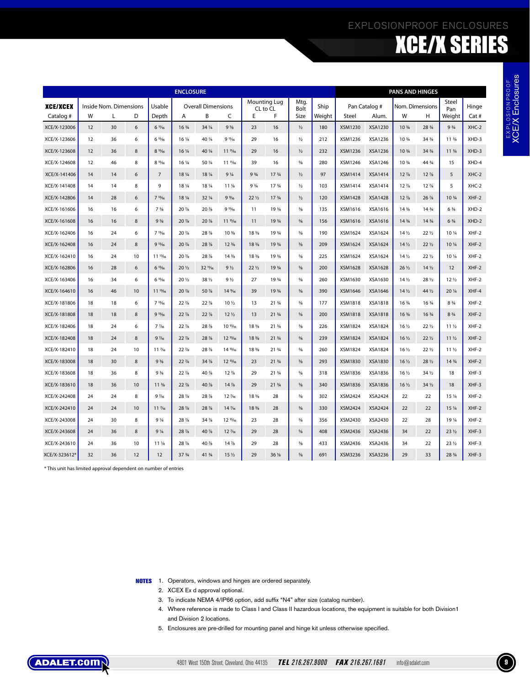### EXPLOSIONPROOF ENCLOSURES

# XCE/X SERIES

|                              |          |                        |        |                                                                       | <b>ENCLOSURE</b>               |                           |                                           |                                     |                                      |                                |            |                                                                                                                      |                           | <b>PANS AND HINGES</b>         |                                |                                |                  |
|------------------------------|----------|------------------------|--------|-----------------------------------------------------------------------|--------------------------------|---------------------------|-------------------------------------------|-------------------------------------|--------------------------------------|--------------------------------|------------|----------------------------------------------------------------------------------------------------------------------|---------------------------|--------------------------------|--------------------------------|--------------------------------|------------------|
| <b>XCE/XCEX</b>              |          | Inside Nom. Dimensions |        | Usable                                                                |                                | <b>Overall Dimensions</b> |                                           |                                     | <b>Mounting Lug</b><br>CL to CL      | Mtg.<br>Bolt                   | Ship       |                                                                                                                      | Pan Catalog #             |                                | Nom. Dimensions                | Steel<br>Pan                   | Hinge            |
| Catalog #                    | W        | L                      | D      | Depth                                                                 | Α                              | B                         | C                                         | Ε                                   | F                                    | Size                           | Weight     | Steel                                                                                                                | Alum.                     | W                              | Н                              | Weight                         | Cat #            |
| XCE/X-123006                 | 12       | 30                     | 6      | $6\frac{11}{16}$                                                      | $16\frac{3}{4}$                | 34 1/4                    | $9\frac{5}{8}$                            | 23                                  | 16                                   | $\frac{1}{2}$                  | 180        | XSM1230                                                                                                              | XSA1230                   | 10 3/4                         | 28 3/4                         | 9 <sup>3</sup> / <sub>4</sub>  | $XHC-2$          |
| XCE/X-123606<br>XCE/X-123608 | 12<br>12 | 36<br>36               | 6<br>8 | 615/16<br>815/16                                                      | 16 1/4<br>16 1/4               | 40 1/4<br>40 1/4          | $91\frac{1}{6}$<br>$111\frac{11}{6}$      | 29<br>29                            | 16<br>16                             | ⅓<br>$\frac{1}{2}$             | 212<br>232 | XSM1236<br>XSM1236                                                                                                   | XSA1236<br>XSA1236        | 10 3/4<br>10 3/4               | 34 3/4<br>$34\frac{3}{4}$      | 11 3/4<br>11 3/4               | XHD-3<br>XHD-3   |
|                              |          |                        |        |                                                                       |                                |                           |                                           |                                     |                                      |                                |            |                                                                                                                      |                           |                                |                                |                                |                  |
| XCE/X-124608<br>XCE/X-141406 | 12<br>14 | 46<br>14               | 8<br>6 | 815/16                                                                | 16 1/4<br>18 1/4               | 50 1/4<br>18 1/4          | 11 11/16<br>9 <sup>1</sup> / <sub>4</sub> | 39<br>9 <sup>3</sup> / <sub>4</sub> | 16<br>17 <sup>3</sup> / <sub>4</sub> | $\frac{5}{8}$                  | 280<br>97  | XSM1246<br>XSM1414                                                                                                   | XSA1246<br><b>XSA1414</b> | 10 3/4<br>$12\frac{7}{8}$      | 44 3/4<br>$12\frac{7}{8}$      | 15<br>5                        | XHD-4<br>$XHC-2$ |
| XCE/X-141408                 | 14       | 14                     | 8      | $\overline{7}$<br>9                                                   | 18 1/4                         | 18 1/4                    | 11 <sub>18</sub>                          | 9 <sup>3</sup> / <sub>4</sub>       | 17 3/4                               | $\frac{1}{2}$<br>$\frac{1}{2}$ | 103        | XSM1414                                                                                                              | <b>XSA1414</b>            | $12\frac{7}{8}$                | $12\frac{7}{8}$                | 5                              | XHC-2            |
| XCE/X-142806                 | 14       | 28                     | 6      | 713/16                                                                | 18 1/4                         | 32 1/4                    | 9%                                        | $22\frac{1}{2}$                     | 17 <sup>3</sup> / <sub>4</sub>       | $\frac{1}{2}$                  | 120        | <b>XSM1428</b>                                                                                                       | <b>XSA1428</b>            | $12\frac{7}{8}$                | $26\frac{7}{8}$                | 10 3/4                         | $XHF-2$          |
| XCE/X-161606                 | 16       | 16                     | 6      | 7 <sup>5</sup> / <sub>8</sub>                                         | 20 %                           | 20 %                      | 915/16                                    | 11                                  | 19 3/4                               | $\frac{5}{8}$                  | 135        | XSM1616                                                                                                              | XSA1616                   | 14 <sup>3</sup> / <sub>4</sub> | 14 3/4                         | $6\frac{3}{4}$                 | XHD-2            |
| XCE/X-161608                 | 16       | 16                     | 8      | $9\frac{5}{8}$                                                        | 20 %                           | 20 %                      | $11^{15}/16$                              | 11                                  | 19 3/4                               | $\frac{5}{8}$                  | 156        | XSM1616                                                                                                              | XSA1616                   | $14\frac{3}{4}$                | 14 <sup>3</sup> / <sub>4</sub> | $6\frac{3}{4}$                 | XHD-2            |
| XCE/X-162406                 | 16       | 24                     | 6      | 713/16                                                                | 20 %                           | 28 %                      | 10 %                                      | 18 %                                | 19 3/4                               | $\frac{5}{8}$                  | 190        | XSM1624                                                                                                              | XSA1624                   | 14 <sub>2</sub>                | 22 <sub>2</sub>                | 10 1/4                         | XHF-2            |
| XCE/X-162408                 | 16       | 24                     | 8      | 913/16                                                                | 20 %                           | 28 %                      | 12 <sup>3</sup> / <sub>8</sub>            | 18 %                                | 19 3/4                               | $\frac{5}{8}$                  | 209        | XSM1624                                                                                                              | XSA1624                   | 14 <sub>2</sub>                | $22\frac{1}{2}$                | 10 <sup>1</sup> / <sub>4</sub> | $XHF-2$          |
| XCE/X-162410                 | 16       | 24                     | 10     | $11^{13}/16$                                                          | 20 %                           | 28 %                      | 14 %                                      | 18 %                                | 19 3/4                               | $\frac{5}{8}$                  | 225        | XSM1624                                                                                                              | XSA1624                   | 14 <sub>2</sub>                | 22 <sub>2</sub>                | 10 1/4                         | XHF-2            |
| XCE/X-162806                 | 16       | 28                     | 6      | 613/16                                                                | 20 1/2                         | 32 1/16                   | 9 <sub>1/2</sub>                          | $22\frac{1}{2}$                     | 19 3/4                               | $\frac{5}{8}$                  | 200        | <b>XSM1628</b>                                                                                                       | <b>XSA1628</b>            | $26\frac{1}{2}$                | 14 <sub>2</sub>                | 12                             | $XHF-2$          |
| XCE/X-163406                 | 16       | 34                     | 6      | 615/16                                                                | 20 1/2                         | 38 1/2                    | 9 <sub>1/2</sub>                          | 27                                  | 19 3/4                               | $\frac{5}{8}$                  | 260        | XSM1630                                                                                                              | XSA1630                   | 14 <sub>2</sub>                | 28 1/2                         | 12 <sub>2</sub>                | XHF-2            |
| XCE/X-164610                 | 16       | 46                     | 10     | $11^{13}/16$                                                          | 20 %                           | 50 %                      | 14 %                                      | 39                                  | 19 3/4                               | $\frac{5}{8}$                  | 390        | XSM1646                                                                                                              | XSA1646                   | 14 <sub>2</sub>                | $44\frac{1}{2}$                | 20 1/4                         | XHF-4            |
| XCE/X-181806                 | 18       | 18                     | 6      | 713/16                                                                | $22\frac{7}{8}$                | $22\frac{7}{8}$           | 10 1/2                                    | 13                                  | 21 3/4                               | $\frac{5}{8}$                  | 177        | XSM1818                                                                                                              | <b>XSA1818</b>            | 16 3/4                         | 16 3/4                         | $8 \frac{3}{4}$                | XHF-2            |
| XCE/X-181808                 | 18       | 18                     | 8      | 913/16                                                                | $22\frac{7}{8}$                | $22\frac{7}{8}$           | 12 <sub>2</sub>                           | 13                                  | 21 <sup>3</sup> / <sub>4</sub>       | $\frac{5}{8}$                  | 200        | <b>XSM1818</b>                                                                                                       | <b>XSA1818</b>            | $16\frac{3}{4}$                | $16\frac{3}{4}$                | $8\frac{3}{4}$                 | $XHF-2$          |
| XCE/X-182406                 | 18       | 24                     | 6      | 7 1/16                                                                | $22\frac{7}{8}$                | 28 %                      | 10 13/16                                  | 18 %                                | 21 3/4                               | $\frac{5}{8}$                  | 226        | XSM1824                                                                                                              | <b>XSA1824</b>            | $16\frac{1}{2}$                | 22 <sub>2</sub>                | 11 <sub>2</sub>                | XHF-2            |
| XCE/X-182408                 | 18       | 24                     | 8      | $9\frac{7}{16}$                                                       | $22\frac{7}{8}$                | 28 %                      | $12^{13}/16$                              | 18 %                                | 21 <sup>3</sup> / <sub>4</sub>       | $\frac{5}{8}$                  | 239        | <b>XSM1824</b>                                                                                                       | <b>XSA1824</b>            | $16\frac{1}{2}$                | $22\frac{1}{2}$                | 11 <sub>2</sub>                | $XHF-2$          |
| XCE/X-182410                 | 18       | 24                     | 10     | 11 1/16                                                               | $22\frac{7}{8}$                | 28 %                      | $14^{13}/16$                              | 18 <sup>3</sup> / <sub>8</sub>      | 21 3/4                               | $\frac{5}{8}$                  | 260        | <b>XSM1824</b>                                                                                                       | XSA1824                   | $16\frac{1}{2}$                | 22 <sub>2</sub>                | 11 <sub>2</sub>                | XHF-2            |
| XCE/X-183008                 | 18       | 30                     | 8      | $9\frac{3}{8}$                                                        | $22\frac{7}{8}$                | 34 %                      | $12^{13}/16$                              | 23                                  | 21 <sup>3</sup> / <sub>4</sub>       | $\frac{5}{8}$                  | 293        | XSM1830                                                                                                              | XSA1830                   | $16\frac{1}{2}$                | 28 1/2                         | 14 3/4                         | $XHF-2$          |
| XCE/X-183608                 | 18       | 36                     | 8      | $9\frac{3}{8}$                                                        | $22\frac{7}{8}$                | 40 %                      | $12\frac{7}{8}$                           | 29                                  | 21 3/4                               | $\frac{5}{8}$                  | 318        | XSM1836                                                                                                              | XSA1836                   | $16\frac{1}{2}$                | $34\frac{1}{2}$                | 18                             | XHF-3            |
| XCE/X-183610                 | 18       | 36                     | 10     | 11 %                                                                  | $22\frac{7}{8}$                | 40 %                      | 14 %                                      | 29                                  | 21 <sup>3</sup> / <sub>4</sub>       | $\frac{5}{8}$                  | 340        | XSM1836                                                                                                              | XSA1836                   | $16\frac{1}{2}$                | $34\frac{1}{2}$                | 18                             | XHF-3            |
| XCE/X-242408                 | 24       | 24                     | 8      | $9\frac{7}{16}$                                                       | 28 %                           | 28 %                      | 12 1/16                                   | 18 %                                | 28                                   | $\frac{5}{8}$                  | 302        | XSM2424                                                                                                              | <b>XSA2424</b>            | 22                             | 22                             | 15 %                           | XHF-2            |
| XCE/X-242410                 | 24       | 24                     | 10     | 11 %                                                                  | 28 %                           | 28 %                      | 14 1/16                                   | 18 %                                | 28                                   | $\frac{5}{8}$                  | 330        | XSM2424                                                                                                              | <b>XSA2424</b>            | 22                             | 22                             | 15 <sup>1</sup> / <sub>4</sub> | $XHF-2$          |
| XCE/X-243008                 | 24       | 30                     | 8      | 9 1/4                                                                 | 28 %                           | 34 %                      | $12^{15}/16$                              | 23                                  | 28                                   | $\frac{5}{8}$                  | 356        | XSM2430                                                                                                              | XSA2430                   | 22                             | 28                             | 19 1/4                         | XHF-2            |
| XCE/X-243608                 | 24       | 36                     | 8      | 9 <sup>1/4</sup>                                                      | 28 %                           | 40 %                      | 12 1/16                                   | 29                                  | 28                                   | $\frac{5}{8}$                  | 408        | XSM2436                                                                                                              | XSA2436                   | 34                             | 22                             | 23 <sub>2</sub>                | $XHF-3$          |
| XCE/X-243610                 | 24       | 36                     | 10     | 11 1/4                                                                | 28 %                           | 40 %                      | 14 %                                      | 29                                  | 28                                   | $\frac{5}{8}$                  | 433        | XSM2436                                                                                                              | XSA2436                   | 34                             | 22                             | 23 <sub>2</sub>                | XHF-3            |
| XCE/X-323612*                | 32       | 36                     | 12     | 12                                                                    | 37 <sup>3</sup> / <sub>4</sub> | 41 3/4                    | 15 <sub>2</sub>                           | 29                                  | 36 %                                 | $\frac{5}{8}$                  | 691        | XSM3236                                                                                                              | XSA3236                   | 29                             | 33                             | 28 3/4                         | XHF-3            |
|                              |          |                        |        |                                                                       |                                |                           |                                           |                                     |                                      |                                |            |                                                                                                                      |                           |                                |                                |                                |                  |
|                              |          |                        |        | <b>NOTES</b> 1. Operators, windows and hinges are ordered separately. |                                |                           |                                           |                                     |                                      |                                |            |                                                                                                                      |                           |                                |                                |                                |                  |
|                              |          |                        |        |                                                                       |                                |                           | 2. XCEX Ex d approval optional.           |                                     |                                      |                                |            | 3. To indicate NEMA 4/IP66 option, add suffix "N4" after size (catalog number).                                      |                           |                                |                                |                                |                  |
|                              |          |                        |        |                                                                       |                                |                           |                                           |                                     |                                      |                                |            | 4. Where reference is made to Class I and Class II hazardous locations, the equipment is suitable for both Division1 |                           |                                |                                |                                |                  |
|                              |          |                        |        |                                                                       | and Division 2 locations.      |                           |                                           |                                     |                                      |                                |            |                                                                                                                      |                           |                                |                                |                                |                  |
|                              |          |                        |        |                                                                       |                                |                           |                                           |                                     |                                      |                                |            | 5. Enclosures are pre-drilled for mounting panel and hinge kit unless otherwise specified.                           |                           |                                |                                |                                |                  |
|                              |          |                        |        |                                                                       |                                |                           |                                           |                                     |                                      |                                |            |                                                                                                                      |                           |                                |                                |                                |                  |
| <b>DALET.COMM</b>            |          |                        |        |                                                                       |                                |                           |                                           |                                     |                                      |                                |            | 4801 West 150th Street, Cleveland, Ohio 44135 TEL 216.267.9000 FAX 216.267.1681                                      |                           | info@addlet.com                |                                |                                |                  |

- 3. To indicate NEMA 4/IP66 option, add suffix "N4" after size (catalog number).
- 4. Where reference is made to Class I and Class II hazardous locations, the equipment is suitable for both Division1 and Division 2 locations.
- 5. Enclosures are pre-drilled for mounting panel and hinge kit unless otherwise specified.

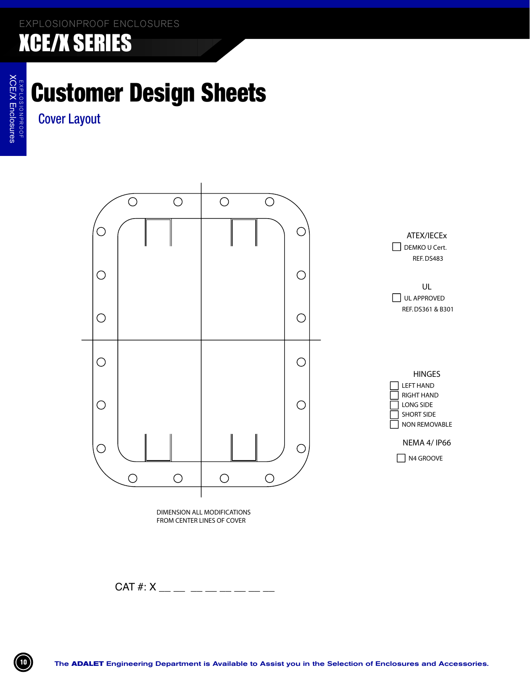# Customer Design Sheets

Cover Layout



DIMENSION ALL MODIFICATIONS FROM CENTER LINES OF COVER

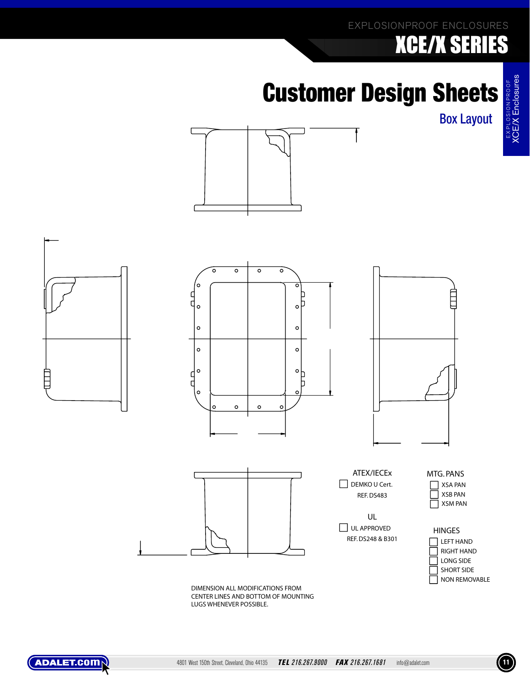### EXPLOSIONPROOF ENCLOSURES

# XCE/X SERIES

# **Customer Design Sheets**

Box Layout

XCE/X Enclosures





DIMENSION ALL MODIFICATIONS FROM CENTER LINES AND BOTTOM OF MOUNTING LUGS WHENEVER POSSIBLE.

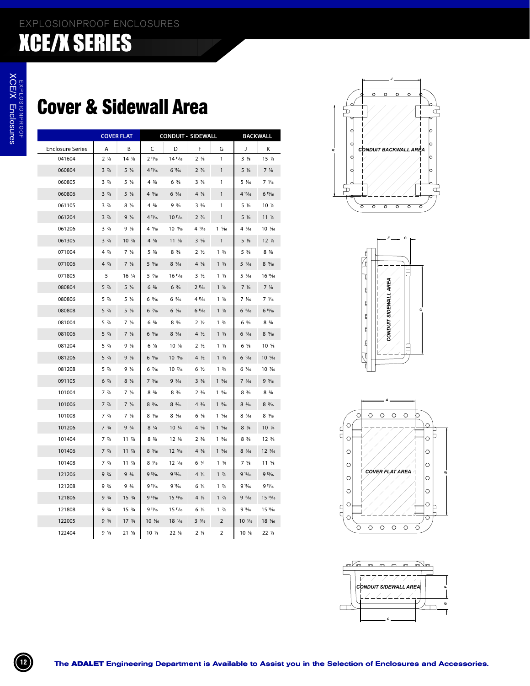### Cover & Sidewall Area

|                         | <b>COVER FLAT</b> |                  |                  | <b>CONDUIT - SIDEWALL</b> |                                 |                 |                  | <b>BACKWALL</b>  |
|-------------------------|-------------------|------------------|------------------|---------------------------|---------------------------------|-----------------|------------------|------------------|
| <b>Enclosure Series</b> | Α                 | В                | C                | D                         | F                               | G               | J                | κ                |
| 041604                  | $2\frac{1}{8}$    | 14 %             | $2\frac{11}{6}$  | 14 1/16                   | $2\frac{7}{8}$                  | 1               | $3\frac{1}{8}$   | 15 %             |
| 060804                  | $3\frac{7}{8}$    | $5 \frac{7}{8}$  | 4 11/16          | $6\frac{11}{16}$          | $2\frac{7}{8}$                  | $\mathbf{1}$    | $5\frac{1}{8}$   | $7\frac{1}{8}$   |
| 060805                  | $3\frac{7}{8}$    | $5\frac{7}{8}$   | $4\frac{5}{8}$   | $6 \frac{5}{8}$           | $3\frac{7}{8}$                  | 1               | 5 ¼6             | 7 1/16           |
| 060806                  | $3\frac{7}{8}$    | $5\frac{7}{8}$   | $4\frac{9}{16}$  | $6\frac{9}{16}$           | $4\frac{7}{8}$                  | $\mathbf{1}$    | 4 15/16          | 615/16           |
| 061105                  | $3\frac{7}{8}$    | $8\frac{7}{8}$   | $4\frac{5}{8}$   | $9\frac{5}{8}$            | $3\frac{5}{8}$                  | 1               | 5 %              | $10 \frac{1}{8}$ |
| 061204                  | $3\frac{7}{8}$    | $9\frac{7}{8}$   | 4 11/16          | 10 1/16                   | $2\frac{7}{8}$                  | 1               | 5 %              | $11 \frac{1}{8}$ |
| 061206                  | $3\frac{7}{8}$    | $9\frac{7}{8}$   | $4\frac{9}{16}$  | 10 %                      | 4 %                             | $1\frac{5}{16}$ | 4 1/16           | 10 7/16          |
| 061305                  | $3\frac{7}{8}$    | $10 \frac{7}{8}$ | $4\frac{5}{8}$   | $11 \frac{5}{8}$          | $3\frac{5}{8}$                  | $\mathbf{1}$    | $5\frac{1}{8}$   | $12 \frac{1}{8}$ |
| 071004                  | $4\frac{7}{8}$    | $7\frac{7}{8}$   | $5\frac{5}{8}$   | $8\frac{5}{8}$            | 2 <sub>2</sub>                  | $1 \frac{3}{8}$ | $5\frac{5}{8}$   | $8\frac{5}{8}$   |
| 071006                  | $4\frac{7}{8}$    | $7\frac{7}{8}$   | $5\frac{9}{16}$  | $8\frac{9}{16}$           | $4\frac{5}{8}$                  | $1 \frac{3}{8}$ | $5\frac{9}{16}$  | $8\frac{9}{16}$  |
| 071805                  | 5                 | $16\frac{1}{4}$  | 5 1/16           | 16 1/16                   | $3\frac{1}{2}$                  | $1 \frac{3}{8}$ | 5 1/16           | 16 1/16          |
| 080804                  | $5\frac{7}{8}$    | $5\frac{7}{8}$   | $6\frac{5}{8}$   | $6\frac{5}{8}$            | 2 <sup>11</sup> / <sub>16</sub> | $1\frac{1}{8}$  | $7\frac{1}{8}$   | $7\frac{1}{8}$   |
| 080806                  | $5\frac{7}{8}$    | $5\frac{7}{8}$   | $6\frac{9}{16}$  | $6\frac{9}{16}$           | 4 11/16                         | $1\frac{1}{8}$  | 7 1/16           | 7 1/16           |
| 080808                  | $5\frac{7}{8}$    | $5\frac{7}{8}$   | 6 1/16           | 6 1/16                    | 6 11/16                         | $1\frac{1}{8}$  | 615/16           | 615/16           |
| 081004                  | $5\frac{7}{8}$    | $7\frac{7}{8}$   | $6\frac{5}{8}$   | $8 \frac{5}{8}$           | 2 <sub>2</sub>                  | $1 \frac{3}{8}$ | $6 \frac{5}{8}$  | $8\frac{5}{8}$   |
| 081006                  | $5\frac{7}{8}$    | $7\frac{7}{8}$   | $6\frac{9}{16}$  | $8\frac{9}{16}$           | $4\frac{1}{2}$                  | $1 \frac{3}{8}$ | 6 %              | $8\frac{9}{16}$  |
| 081204                  | $5\frac{7}{8}$    | $9\frac{7}{8}$   | $6\frac{5}{8}$   | $10 \frac{5}{8}$          | 2 <sub>2</sub>                  | $1 \frac{3}{8}$ | $6 \frac{5}{8}$  | $10 \frac{5}{8}$ |
| 081206                  | $5\frac{7}{8}$    | $9\frac{7}{8}$   | $6\frac{9}{16}$  | 10 %                      | $4\frac{1}{2}$                  | $1 \frac{3}{8}$ | $6\frac{9}{16}$  | 10 %             |
| 081208                  | $5\frac{7}{8}$    | $9\frac{7}{8}$   | 6 1/16           | 10 1/16                   | $6\frac{1}{2}$                  | $1 \frac{3}{8}$ | 6 1/16           | 10 7/16          |
| 091105                  | $6\frac{7}{8}$    | $8\frac{7}{8}$   | $7\frac{5}{16}$  | $9\frac{5}{16}$           | $3\frac{3}{8}$                  | $1\frac{9}{6}$  | $7\frac{5}{16}$  | $9\frac{5}{16}$  |
| 101004                  | $7 \frac{7}{8}$   | $7\frac{7}{8}$   | $8 \frac{3}{8}$  | $8 \frac{3}{8}$           | $2 \frac{3}{8}$                 | $1\frac{9}{6}$  | $8 \frac{3}{8}$  | $8 \frac{3}{8}$  |
| 101006                  | $7\frac{7}{8}$    | $7\frac{7}{8}$   | $8\frac{5}{16}$  | $8\frac{5}{16}$           | $4\frac{3}{8}$                  | $1\frac{9}{6}$  | $8\frac{5}{16}$  | $8\frac{5}{16}$  |
| 101008                  | $7 \frac{7}{8}$   | $7\frac{7}{8}$   | $8 \frac{3}{16}$ | $8 \frac{3}{16}$          | $6 \frac{3}{8}$                 | $1\frac{9}{16}$ | $8 \frac{3}{16}$ | $8 \frac{3}{16}$ |
| 101206                  | $7^{3/4}$         | 93/4             | $8\frac{1}{4}$   | $10 \frac{1}{4}$          | $4\frac{5}{8}$                  | $1\frac{9}{6}$  | $8\frac{1}{4}$   | $10 \frac{1}{4}$ |
| 101404                  | $7 \frac{7}{8}$   | $11 \frac{7}{8}$ | $8 \frac{3}{8}$  | $12 \frac{3}{8}$          | $2 \frac{3}{8}$                 | $1\frac{9}{6}$  | $8 \frac{3}{8}$  | $12 \frac{3}{8}$ |
| 101406                  | $7\frac{7}{8}$    | $11 \frac{7}{8}$ | $8\frac{5}{16}$  | 12 %                      | $4 \frac{3}{8}$                 | $1\frac{9}{16}$ | $8\frac{5}{16}$  | 12 %             |
| 101408                  | $7 \frac{7}{8}$   | $11 \frac{7}{8}$ | 8 1/16           | 12 1/16                   | 6 ¼                             | $1 \frac{3}{4}$ | $7 \frac{5}{8}$  | $11 \frac{5}{8}$ |
| 121206                  | 93/4              | $9 \frac{3}{4}$  | 913/16           | 913/16                    | 4 %                             | $1 \frac{7}{8}$ | 913/16           | 913/16           |
| 121208                  | 93/4              | 9.3/4            | $91\frac{1}{6}$  | 9 11/16                   | $6\frac{1}{8}$                  | $1\frac{7}{8}$  | $91\frac{1}{6}$  | $91\frac{1}{6}$  |
| 121806                  | $9 \frac{3}{4}$   | $15 \frac{3}{4}$ | 913/16           | 15 13/16                  | 4 %                             | $1 \frac{7}{8}$ | 913/16           | $15^{13}/16$     |
| 121808                  | 93/4              | $15 \frac{3}{4}$ | 9 11/16          | 15 1/16                   | $6\frac{1}{8}$                  | $1 \frac{7}{8}$ | $91\frac{1}{6}$  | 15 1/16          |
| 122005                  | 93/4              | $17 \frac{3}{4}$ | 10 1/16          | 18 16                     | $3\frac{3}{16}$                 | 2               | 10 1/16          | 18 1/16          |
| 122404                  | 9.5/8             | $21 \frac{5}{8}$ | $10 \frac{1}{8}$ | 22 %                      | $2\frac{1}{8}$                  | 2               | $10 \frac{1}{8}$ | 22 %             |







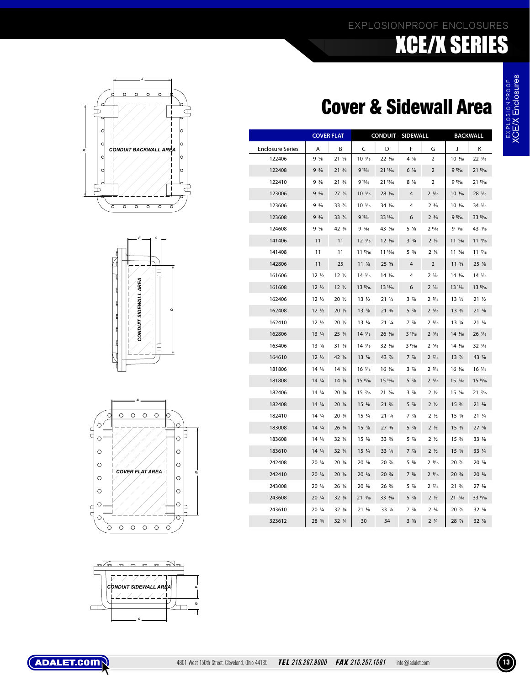### EXPLOSIONPROOF ENCLOSURES XCE/X SERIES

### Cover & Sidewall Area

|                         | <b>COVER FLAT</b> |                  |                   |                  | <b>CONDUIT - SIDEWALL</b> |                               |                  | <b>BACKWALL</b>                |
|-------------------------|-------------------|------------------|-------------------|------------------|---------------------------|-------------------------------|------------------|--------------------------------|
| <b>Enclosure Series</b> | A                 | B                | C                 | D                | F                         | G                             | J                | Κ                              |
| 122406                  | 9.5/8             | 21 %             | 10 1/16           | 22 1/16          | $4\frac{1}{8}$            | $\overline{2}$                | 10 1/16          | 22 1/16                        |
| 122408                  | 9.5/8             | $21 \frac{5}{8}$ | 915/16            | 2115/16          | $6\frac{1}{8}$            | $\overline{2}$                | 915/16           | 2115/16                        |
| 122410                  | 9%                | $21 \frac{5}{8}$ | 9 13/16           | 21 13/16         | 8 %                       | 2                             | 9 13/16          | 21 13/16                       |
| 123006                  | $9\frac{5}{8}$    | $27 \frac{7}{8}$ | 10 1/16           | 28 1/16          | $\overline{4}$            | $2 \frac{5}{16}$              | 10 1/16          | 28 1/16                        |
| 123606                  | $9\frac{5}{8}$    | 33 %             | 10 1/16           | 34 1/16          | 4                         | 2 <sup>3</sup> / <sub>8</sub> | 10 1/16          | 34 1/16                        |
| 123608                  | $9\frac{5}{8}$    | 33 %             | 915/16            | 33 15/16         | 6                         | $2 \frac{3}{8}$               | 915/16           | 33 15/16                       |
| 124608                  | $9\frac{5}{8}$    | 42 1/4           | 9 1/16            | 43 7/16          | $5\frac{5}{8}$            | $2\frac{11}{16}$              | 9.3/16           | 43 3/16                        |
| 141406                  | 11                | 11               | 12 1/16           | $12 \frac{1}{6}$ | $3^{3}/4$                 | $2\frac{1}{8}$                | 11 %             | $11 \frac{9}{6}$               |
| 141408                  | 11                | 11               | 11 15/16          | 11 15/16         | $5 \frac{3}{4}$           | $2\frac{1}{8}$                | 11 7/16          | 11 1/16                        |
| 142806                  | 11                | 25               | $11 \frac{5}{8}$  | $25 \frac{5}{8}$ | $\overline{4}$            | $\overline{2}$                | $11 \frac{5}{8}$ | 25 %                           |
| 161606                  | $12\frac{1}{2}$   | 12 <sub>2</sub>  | 14 1/16           | 14 1/16          | 4                         | $2\frac{1}{6}$                | 14 1/16          | 14 1/16                        |
| 161608                  | $12\frac{1}{2}$   | $12\frac{1}{2}$  | $13^{15}/16$      | $13^{15}/16$     | 6                         | $2\frac{1}{6}$                | $13^{15}/16$     | 13 15/16                       |
| 162406                  | 12 <sub>2</sub>   | $20\frac{1}{2}$  | $13 \frac{1}{2}$  | 21 <sub>2</sub>  | $3\frac{7}{8}$            | $2\frac{5}{16}$               | $13 \frac{1}{2}$ | 21 <sub>2</sub>                |
| 162408                  | $12 \frac{1}{2}$  | $20\frac{1}{2}$  | $13 \frac{3}{8}$  | $21 \frac{3}{8}$ | $5\frac{7}{8}$            | $2\frac{5}{16}$               | $13 \frac{3}{8}$ | $21 \frac{3}{8}$               |
| 162410                  | $12\frac{1}{2}$   | $20\frac{1}{2}$  | $13 \frac{1}{4}$  | $21\frac{1}{4}$  | $7 \frac{7}{8}$           | $2\frac{5}{16}$               | $13 \frac{1}{4}$ | $21\frac{1}{4}$                |
| 162806                  | $13 \frac{1}{4}$  | 25 1/4           | 14 1/16           | 26 1/16          | $3\frac{11}{16}$          | $2 \frac{3}{16}$              | 14 1/16          | 26 1/16                        |
| 163406                  | $13 \frac{3}{8}$  | $31 \frac{3}{8}$ | 14 1/16           | 32 1/16          | 315/16                    | $2\frac{5}{16}$               | 14 1/16          | 32 1/16                        |
| 164610                  | $12\frac{1}{2}$   | 42 1/4           | $13\frac{7}{8}$   | 43 %             | $7\frac{7}{8}$            | $2\frac{7}{6}$                | $13\frac{7}{8}$  | 43 %                           |
| 181806                  | $14\frac{1}{4}$   | $14\frac{1}{4}$  | 16 1/16           | 16 1/16          | $3\frac{7}{8}$            | $2\frac{5}{16}$               | 16 1/16          | 16 1/16                        |
| 181808                  | $14\frac{1}{4}$   | 14 1/4           | 15 15/16          | 15 15/16         | $5\frac{7}{8}$            | $2\frac{5}{16}$               | 15 15/16         | 15 15/16                       |
| 182406                  | $14\frac{1}{4}$   | 20 1/4           | 15 7/16           | 21 7/16          | $3\frac{7}{8}$            | $2\frac{1}{2}$                | 15 7/16          | 21 7/16                        |
| 182408                  | $14\frac{1}{4}$   | 20 1/4           | $15 \frac{3}{8}$  | $21 \frac{3}{8}$ | $5\frac{7}{8}$            | $2\frac{1}{2}$                | $15 \frac{3}{8}$ | $21 \frac{3}{8}$               |
| 182410                  | $14\frac{1}{4}$   | $20\frac{1}{4}$  | $15\frac{1}{4}$   | $21\frac{1}{4}$  | $7\frac{7}{8}$            | $2\frac{1}{2}$                | $15\frac{1}{4}$  | $21\frac{1}{4}$                |
| 183008                  | $14\frac{1}{4}$   | 26 1/4           | $15 \frac{3}{8}$  | $27 \frac{3}{8}$ | $5 \frac{7}{8}$           | $2\frac{1}{2}$                | $15 \frac{3}{8}$ | 27 <sup>3</sup> / <sub>8</sub> |
| 183608                  | $14\frac{1}{4}$   | 32 1/4           | $15 \frac{3}{8}$  | $33\frac{3}{8}$  | 5 %                       | 2 <sub>2</sub>                | $15 \frac{3}{8}$ | 33 %                           |
| 183610                  | $14\frac{1}{4}$   | $32\frac{1}{4}$  | $15 \frac{1}{4}$  | 33 1/4           | $7\frac{7}{8}$            | $2\frac{1}{2}$                | 15 1/4           | 33 1/4                         |
| 242408                  | 20 1/4            | 20 1/4           | 20 %              | 20 %             | $5\frac{5}{8}$            | 2%                            | 20 %             | 20 %                           |
| 242410                  | 20 1/4            | 20 1/4           | 20 3/4            | $20 \frac{3}{4}$ | $7 \frac{5}{8}$           | 2%                            | 20 3/4           | $20 \frac{3}{4}$               |
| 243008                  | 20 1/4            | 26 1/4           | $20 \frac{5}{8}$  | 26 %             | $5\frac{7}{8}$            | $2\frac{7}{6}$                | $21 \frac{3}{8}$ | 27 <sup>3</sup> / <sub>8</sub> |
| 243608                  | $20\frac{1}{4}$   | $32\frac{1}{4}$  | $21 \frac{3}{16}$ | 33 3/16          | $5\frac{7}{8}$            | $2\frac{1}{2}$                | $21^{15}/16$     | 33 15/16                       |
| 243610                  | 20 1/4            | 32 1/4           | 21 <sub>8</sub>   | 33 <sup>/s</sup> | $7\frac{7}{8}$            | $2 \frac{3}{4}$               | $20\frac{7}{8}$  | $32\frac{7}{8}$                |
| 323612                  | 28 3/4            | $32 \frac{3}{4}$ | 30                | 34               | $3\frac{3}{8}$            | $2 \frac{3}{4}$               | 28 7/8           | $32\frac{7}{8}$                |









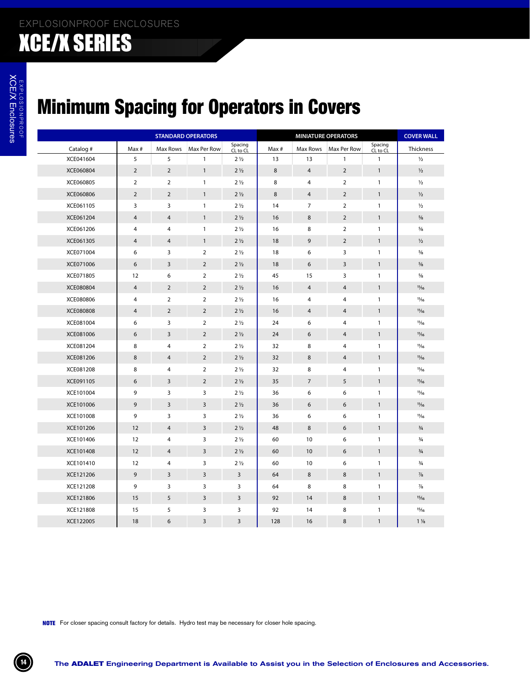### Minimum Spacing for Operators in Covers

|           |                |                | <b>STANDARD OPERATORS</b> |                     |       |                | <b>MINIATURE OPERATORS</b> |                     | <b>COVER WALL</b> |
|-----------|----------------|----------------|---------------------------|---------------------|-------|----------------|----------------------------|---------------------|-------------------|
| Catalog # | Max #          | Max Rows       | Max Per Row               | Spacing<br>CL to CL | Max # | Max Rows       | Max Per Row                | Spacing<br>CL to CL | Thickness         |
| XCE041604 | 5              | 5              | $\mathbf{1}$              | $2\frac{1}{2}$      | 13    | 13             | 1                          | 1                   | $\frac{1}{2}$     |
| XCE060804 | $\overline{2}$ | $\overline{2}$ | $\mathbf{1}$              | $2\frac{1}{2}$      | 8     | 4              | $\overline{2}$             | $\mathbf{1}$        | $\frac{1}{2}$     |
| XCE060805 | $\overline{2}$ | $\overline{2}$ | $\mathbf{1}$              | $2\frac{1}{2}$      | 8     | 4              | $\overline{2}$             | $\mathbf{1}$        | $\frac{1}{2}$     |
| XCE060806 | $\overline{2}$ | $\overline{2}$ | $\mathbf{1}$              | $2\frac{1}{2}$      | 8     | 4              | $\overline{2}$             | $\mathbf{1}$        | $\frac{1}{2}$     |
| XCE061105 | 3              | 3              | $\mathbf{1}$              | $2\frac{1}{2}$      | 14    | 7              | $\overline{2}$             | $\mathbf{1}$        | $\frac{1}{2}$     |
| XCE061204 | 4              | $\overline{4}$ | $\mathbf{1}$              | $2\frac{1}{2}$      | 16    | 8              | $\overline{2}$             | $\mathbf{1}$        | $\frac{5}{8}$     |
| XCE061206 | 4              | 4              | $\mathbf{1}$              | $2\frac{1}{2}$      | 16    | 8              | $\overline{2}$             | $\mathbf{1}$        | $\frac{5}{8}$     |
| XCE061305 | 4              | $\overline{4}$ | $\mathbf{1}$              | $2\frac{1}{2}$      | 18    | 9              | $\overline{2}$             | $\mathbf{1}$        | $\frac{1}{2}$     |
| XCE071004 | 6              | 3              | $\overline{2}$            | $2\frac{1}{2}$      | 18    | 6              | 3                          | $\mathbf{1}$        | $\frac{5}{8}$     |
| XCE071006 | 6              | 3              | $\overline{2}$            | $2\frac{1}{2}$      | 18    | 6              | 3                          | $\mathbf{1}$        | $\frac{5}{8}$     |
| XCE071805 | 12             | 6              | $\overline{2}$            | $2\frac{1}{2}$      | 45    | 15             | 3                          | $\mathbf{1}$        | $\frac{5}{8}$     |
| XCE080804 | 4              | $\overline{2}$ | $\overline{2}$            | $2\frac{1}{2}$      | 16    | 4              | 4                          | $\mathbf{1}$        | $\frac{11}{16}$   |
| XCE080806 | 4              | 2              | $\overline{2}$            | $2\frac{1}{2}$      | 16    | 4              | 4                          | $\mathbf{1}$        | $\frac{11}{16}$   |
| XCE080808 | 4              | $\overline{2}$ | $\overline{2}$            | $2\frac{1}{2}$      | 16    | 4              | $\overline{4}$             | $\mathbf{1}$        | 11/16             |
| XCE081004 | 6              | 3              | $\overline{2}$            | $2\frac{1}{2}$      | 24    | 6              | 4                          | $\mathbf{1}$        | $\frac{11}{16}$   |
| XCE081006 | 6              | $\overline{3}$ | $\overline{2}$            | $2\frac{1}{2}$      | 24    | 6              | 4                          | $\mathbf{1}$        | $\frac{11}{16}$   |
| XCE081204 | 8              | $\overline{4}$ | $\overline{2}$            | $2\frac{1}{2}$      | 32    | 8              | 4                          | $\mathbf{1}$        | $\frac{11}{16}$   |
| XCE081206 | 8              | $\overline{4}$ | $\overline{2}$            | $2\frac{1}{2}$      | 32    | 8              | 4                          | $\mathbf{1}$        | 11/16             |
| XCE081208 | 8              | $\overline{4}$ | $\overline{2}$            | $2\frac{1}{2}$      | 32    | 8              | 4                          | $\mathbf{1}$        | $\frac{11}{16}$   |
| XCE091105 | 6              | 3              | $\overline{2}$            | $2\frac{1}{2}$      | 35    | $\overline{7}$ | 5                          | $\mathbf{1}$        | $\frac{11}{16}$   |
| XCE101004 | 9              | 3              | 3                         | $2\frac{1}{2}$      | 36    | 6              | 6                          | $\mathbf{1}$        | $\frac{11}{16}$   |
| XCE101006 | 9              | 3              | $\overline{\mathbf{3}}$   | $2\frac{1}{2}$      | 36    | 6              | 6                          | $\mathbf{1}$        | 11/16             |
| XCE101008 | 9              | 3              | 3                         | $2\frac{1}{2}$      | 36    | 6              | 6                          | $\mathbf{1}$        | $\frac{11}{16}$   |
| XCE101206 | 12             | $\overline{4}$ | $\overline{3}$            | $2\frac{1}{2}$      | 48    | 8              | 6                          | $\mathbf{1}$        | $\frac{3}{4}$     |
| XCE101406 | 12             | 4              | 3                         | $2\frac{1}{2}$      | 60    | 10             | 6                          | $\mathbf{1}$        | $\frac{3}{4}$     |
| XCE101408 | 12             | $\overline{4}$ | $\overline{3}$            | $2\frac{1}{2}$      | 60    | 10             | 6                          | $\mathbf{1}$        | $\frac{3}{4}$     |
| XCE101410 | 12             | 4              | 3                         | $2\frac{1}{2}$      | 60    | 10             | 6                          | $\mathbf{1}$        | $\frac{3}{4}$     |
| XCE121206 | 9              | $\overline{3}$ | $\mathbf{3}$              | $\mathbf{3}$        | 64    | 8              | 8                          | $\mathbf{1}$        | $\frac{7}{8}$     |
| XCE121208 | 9              | 3              | 3                         | 3                   | 64    | 8              | 8                          | $\mathbf{1}$        | $\frac{7}{8}$     |
| XCE121806 | 15             | 5              | $\mathsf 3$               | $\mathbf{3}$        | 92    | 14             | 8                          | $\mathbf{1}$        | 15/16             |
| XCE121808 | 15             | 5              | $\mathsf{3}$              | 3                   | 92    | 14             | 8                          | $\mathbf{1}$        | 15/16             |
| XCE122005 | 18             | 6              | $\mathbf{3}$              | $\mathsf{3}$        | 128   | 16             | 8                          | $\mathbf{1}$        | $1\frac{1}{8}$    |
|           |                |                |                           |                     |       |                |                            |                     |                   |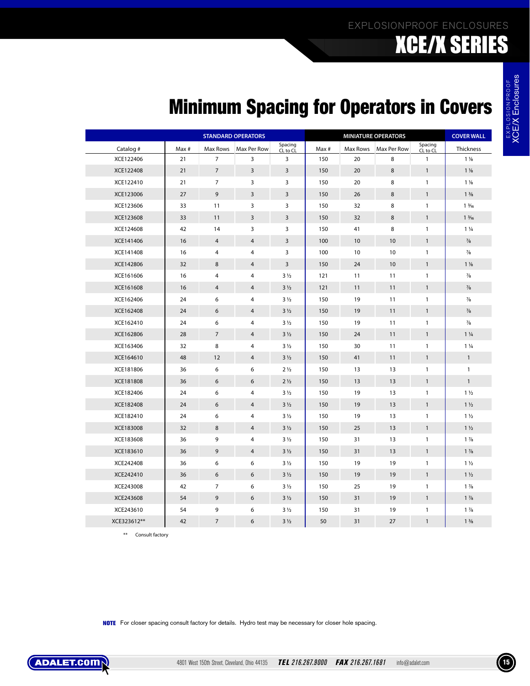### EXPLOSIONPROOF ENCLOSURES XCE/X SERIES

XCE/X Enclosures

### Minimum Spacing for Operators in Covers

|                                                                                                           |       |                  | <b>STANDARD OPERATORS</b> |                     |       |          | <b>MINIATURE OPERATORS</b> |                     | <b>COVER WALL</b> |
|-----------------------------------------------------------------------------------------------------------|-------|------------------|---------------------------|---------------------|-------|----------|----------------------------|---------------------|-------------------|
| Catalog #                                                                                                 | Max # | Max Rows         | Max Per Row               | Spacing<br>CL to CL | Max # | Max Rows | Max Per Row                | Spacing<br>CL to CL | Thickness         |
| XCE122406                                                                                                 | 21    | $\overline{7}$   | 3                         | 3                   | 150   | 20       | 8                          | $\mathbf{1}$        | $1\frac{1}{8}$    |
| XCE122408                                                                                                 | 21    | $\overline{7}$   | 3                         | 3                   | 150   | 20       | 8                          | $\mathbf{1}$        | $1\frac{1}{8}$    |
| XCE122410                                                                                                 | 21    | 7                | 3                         | 3                   | 150   | 20       | 8                          | $\mathbf{1}$        | $1\frac{1}{8}$    |
| XCE123006                                                                                                 | 27    | 9                | 3                         | 3                   | 150   | 26       | 8                          | $\mathbf{1}$        | $1\frac{3}{8}$    |
| XCE123606                                                                                                 | 33    | 11               | 3                         | 3                   | 150   | 32       | 8                          | $\mathbf{1}$        | $1\frac{3}{16}$   |
| XCE123608                                                                                                 | 33    | 11               | 3                         | 3                   | 150   | 32       | 8                          | $\mathbf{1}$        | $1\frac{3}{16}$   |
| XCE124608                                                                                                 | 42    | 14               | 3                         | 3                   | 150   | 41       | 8                          | $\mathbf{1}$        | $1\frac{1}{4}$    |
| XCE141406                                                                                                 | 16    | 4                | $\overline{4}$            | 3                   | 100   | 10       | 10                         | $\mathbf{1}$        | $\frac{7}{8}$     |
| XCE141408                                                                                                 | 16    | 4                | $\overline{4}$            | 3                   | 100   | 10       | 10                         | $\mathbf{1}$        | $\frac{7}{8}$     |
| XCE142806                                                                                                 | 32    | 8                | $\overline{4}$            | 3                   | 150   | 24       | 10                         | $\mathbf{1}$        | $1\frac{1}{8}$    |
| XCE161606                                                                                                 | 16    | 4                | $\overline{4}$            | $3\frac{1}{2}$      | 121   | 11       | 11                         | $\mathbf{1}$        | $\frac{7}{8}$     |
| XCE161608                                                                                                 | 16    | 4                | $\overline{4}$            | $3\frac{1}{2}$      | 121   | 11       | 11                         | $\mathbf{1}$        | $\frac{7}{8}$     |
| XCE162406                                                                                                 | 24    | 6                | $\overline{4}$            | $3\frac{1}{2}$      | 150   | 19       | 11                         | $\mathbf{1}$        | $\frac{7}{8}$     |
| XCE162408                                                                                                 | 24    | 6                | 4                         | $3\frac{1}{2}$      | 150   | 19       | 11                         | $\mathbf{1}$        | $\frac{7}{8}$     |
| XCE162410                                                                                                 | 24    | 6                | $\overline{4}$            | $3\frac{1}{2}$      | 150   | 19       | 11                         | $\mathbf{1}$        | $\frac{7}{8}$     |
| XCE162806                                                                                                 | 28    | $\overline{7}$   | $\overline{4}$            | $3\frac{1}{2}$      | 150   | 24       | 11                         | $\mathbf{1}$        | $1\frac{1}{4}$    |
| XCE163406                                                                                                 | 32    | 8                | $\overline{4}$            | $3\frac{1}{2}$      | 150   | 30       | 11                         | $\mathbf{1}$        | $1\frac{1}{4}$    |
| XCE164610                                                                                                 | 48    | 12               | $\overline{4}$            | $3\frac{1}{2}$      | 150   | 41       | 11                         | $\mathbf{1}$        | $\mathbf{1}$      |
| XCE181806                                                                                                 | 36    | 6                | 6                         | 2 <sub>2</sub>      | 150   | 13       | 13                         | 1                   | $\mathbf{1}$      |
| XCE181808                                                                                                 | 36    | 6                | 6                         | 2 <sub>2</sub>      | 150   | 13       | 13                         | $\mathbf{1}$        | $\mathbf{1}$      |
| XCE182406                                                                                                 | 24    | 6                | 4                         | $3\frac{1}{2}$      | 150   | 19       | 13                         | $\mathbf{1}$        | $1\frac{1}{2}$    |
| XCE182408                                                                                                 | 24    | 6                | $\overline{4}$            | $3\frac{1}{2}$      | 150   | 19       | 13                         | $\mathbf{1}$        | $1\frac{1}{2}$    |
| XCE182410                                                                                                 | 24    | 6                | $\overline{4}$            | $3\frac{1}{2}$      | 150   | 19       | 13                         | $\mathbf{1}$        | $1\frac{1}{2}$    |
| XCE183008                                                                                                 | 32    | 8                | $\overline{4}$            | $3\frac{1}{2}$      | 150   | 25       | 13                         | $\mathbf{1}$        | $1\frac{1}{2}$    |
| XCE183608                                                                                                 | 36    | 9                | 4                         | $3\frac{1}{2}$      | 150   | 31       | 13                         | $\mathbf{1}$        | $1\frac{7}{8}$    |
| XCE183610                                                                                                 | 36    | 9                | $\overline{4}$            | $3\frac{1}{2}$      | 150   | 31       | 13                         | $\mathbf{1}$        | $1\frac{7}{8}$    |
| XCE242408                                                                                                 | 36    | 6                | 6                         | $3\frac{1}{2}$      | 150   | 19       | 19                         | 1                   | $1\frac{1}{2}$    |
| XCE242410                                                                                                 | 36    | 6                | 6                         | $3\frac{1}{2}$      | 150   | 19       | 19                         | $\mathbf{1}$        | $1\frac{1}{2}$    |
| XCE243008                                                                                                 | 42    | $\overline{7}$   | 6                         | $3\frac{1}{2}$      | 150   | 25       | 19                         | $\mathbf{1}$        | $1\frac{7}{8}$    |
| XCE243608                                                                                                 | 54    | 9                | 6                         | $3\frac{1}{2}$      | 150   | 31       | 19                         | $\mathbf{1}$        | $1\frac{7}{8}$    |
| XCE243610                                                                                                 | 54    | 9                | 6                         | $3\frac{1}{2}$      | 150   | 31       | 19                         | $\mathbf{1}$        | $1\frac{7}{8}$    |
| XCE323612**                                                                                               | 42    | $\boldsymbol{7}$ | $\boldsymbol{6}$          | $3\frac{1}{2}$      | 50    | 31       | 27                         | $\mathbf{1}$        | $1\frac{3}{8}$    |
| $\ast\ast$<br>Consult factory                                                                             |       |                  |                           |                     |       |          |                            |                     |                   |
| NOTE For closer spacing consult factory for details. Hydro test may be necessary for closer hole spacing. |       |                  |                           |                     |       |          |                            |                     |                   |

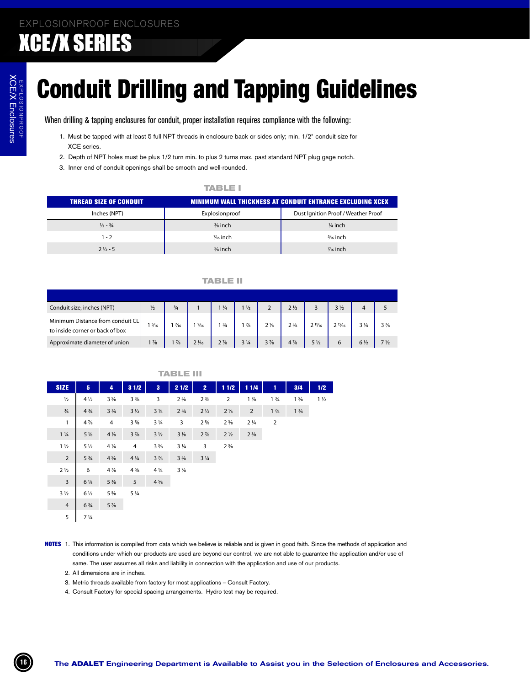# **Conduit Drilling and Tapping Guidelines**

When drilling & tapping enclosures for conduit, proper installation requires compliance with the following:

- 1. Must be tapped with at least 5 full NPT threads in enclosure back or sides only; min. 1/2" conduit size for XCE series.
- 2. Depth of NPT holes must be plus 1/2 turn min. to plus 2 turns max. past standard NPT plug gage notch.
- 3. Inner end of conduit openings shall be smooth and well-rounded.

### **TABLE I**

| <b>THREAD SIZE OF CONDUIT</b> |                      | <b>MINIMUM WALL THICKNESS AT CONDUIT ENTRANCE EXCLUDING XCEX</b> |
|-------------------------------|----------------------|------------------------------------------------------------------|
| Inches (NPT)                  | Explosionproof       | Dust Ignition Proof / Weather Proof                              |
| $\frac{1}{2} - \frac{3}{4}$   | $\frac{3}{8}$ inch   | $\frac{1}{4}$ inch                                               |
| $1 - 2$                       | 1/ <sub>6</sub> inch | 5/ <sub>6</sub> inch                                             |
| $2\frac{1}{2}$ - 5            | $\frac{5}{8}$ inch   | $\frac{7}{6}$ inch                                               |

#### **TABLE II**

| Conduit size, inches (NPT)                                          | $\frac{1}{2}$  | $\frac{3}{4}$  |                | $\frac{1}{4}$  | $1\frac{1}{2}$ |                | $2\frac{1}{2}$                |                   | $3\frac{1}{2}$ |                |                               |
|---------------------------------------------------------------------|----------------|----------------|----------------|----------------|----------------|----------------|-------------------------------|-------------------|----------------|----------------|-------------------------------|
| Minimum Distance from conduit CL<br>to inside corner or back of box | $\frac{5}{16}$ | $\frac{7}{16}$ | $\frac{9}{16}$ | 13/4           | $\frac{7}{8}$  | $2\frac{1}{8}$ | 2 <sup>3</sup> / <sub>8</sub> | $2 \frac{11}{16}$ | $2^{15}/16$    | $3\frac{1}{4}$ | $3\frac{7}{8}$                |
| Approximate diameter of union                                       | $1\frac{7}{8}$ | $1\frac{7}{8}$ | $2\frac{1}{6}$ | $2\frac{7}{8}$ | $3\frac{1}{4}$ | $3\frac{7}{8}$ | $4\frac{7}{8}$                | 5 <sub>1/2</sub>  |                | $6\frac{1}{2}$ | 7 <sup>1</sup> / <sub>2</sub> |

|                  |                               |                               |                |                | IABLE                         |                |                |                |                               |                               |                |
|------------------|-------------------------------|-------------------------------|----------------|----------------|-------------------------------|----------------|----------------|----------------|-------------------------------|-------------------------------|----------------|
| <b>SIZE</b>      | 5                             | 4                             | 31/2           | 3              | 2 1/2                         | $\overline{2}$ | 11/2           | 1 1/4          | 1                             | 3/4                           | 1/2            |
| $\frac{1}{2}$    | $4\frac{1}{2}$                | $3\frac{5}{8}$                | $3\frac{3}{8}$ | 3              | $2\frac{5}{8}$                | $2\frac{3}{8}$ | 2              | $1\frac{7}{8}$ | 1 <sup>3</sup> / <sub>4</sub> | $1\frac{5}{8}$                | $1\frac{1}{2}$ |
| $\frac{3}{4}$    | $4\frac{3}{4}$                | 3 <sup>3</sup> / <sub>4</sub> | $3\frac{1}{2}$ | $3\frac{1}{8}$ | 2 <sup>3</sup> / <sub>4</sub> | $2\frac{1}{2}$ | $2\frac{1}{8}$ | $\overline{2}$ | $1\frac{7}{8}$                | 1 <sup>3</sup> / <sub>4</sub> |                |
| $\mathbf{1}$     | $4\frac{7}{8}$                | 4                             | $3\frac{5}{8}$ | $3\frac{1}{4}$ | 3                             | $2\frac{5}{8}$ | $2\frac{3}{8}$ | $2\frac{1}{4}$ | $\overline{2}$                |                               |                |
| $1\frac{1}{4}$   | $5\frac{1}{8}$                | $4\frac{1}{8}$                | $3\frac{7}{8}$ | $3\frac{1}{2}$ | $3\frac{1}{8}$                | $2\frac{7}{8}$ | 2 <sub>2</sub> | $2\frac{3}{8}$ |                               |                               |                |
| $1\frac{1}{2}$   | $5\frac{1}{2}$                | $4\frac{1}{4}$                | 4              | $3\frac{5}{8}$ | $3\frac{1}{4}$                | 3              | $2\frac{5}{8}$ |                |                               |                               |                |
| $\overline{2}$   | $5\frac{3}{4}$                | $4\frac{5}{8}$                | $4\frac{1}{4}$ | $3\frac{7}{8}$ | $3\frac{5}{8}$                | $3\frac{1}{4}$ |                |                |                               |                               |                |
| 2 <sub>1/2</sub> | 6                             | $4\frac{7}{8}$                | $4\frac{5}{8}$ | $4\frac{1}{4}$ | $3\frac{7}{8}$                |                |                |                |                               |                               |                |
| $\overline{3}$   | $6\frac{1}{4}$                | $5\frac{3}{8}$                | 5              | $4\frac{5}{8}$ |                               |                |                |                |                               |                               |                |
| $3\frac{1}{2}$   | $6\frac{1}{2}$                | $5\frac{5}{8}$                | $5\frac{1}{4}$ |                |                               |                |                |                |                               |                               |                |
| $\overline{4}$   | 6 <sup>3</sup> / <sub>4</sub> | $5\frac{7}{8}$                |                |                |                               |                |                |                |                               |                               |                |
| 5                | $7\frac{1}{4}$                |                               |                |                |                               |                |                |                |                               |                               |                |

- NOTES 1. This information is compiled from data which we believe is reliable and is given in good faith. Since the methods of application and conditions under which our products are used are beyond our control, we are not able to guarantee the application and/or use of same. The user assumes all risks and liability in connection with the application and use of our products.
	- 2. All dimensions are in inches.
	- 3. Metric threads available from factory for most applications Consult Factory.
	- 4. Consult Factory for special spacing arrangements. Hydro test may be required.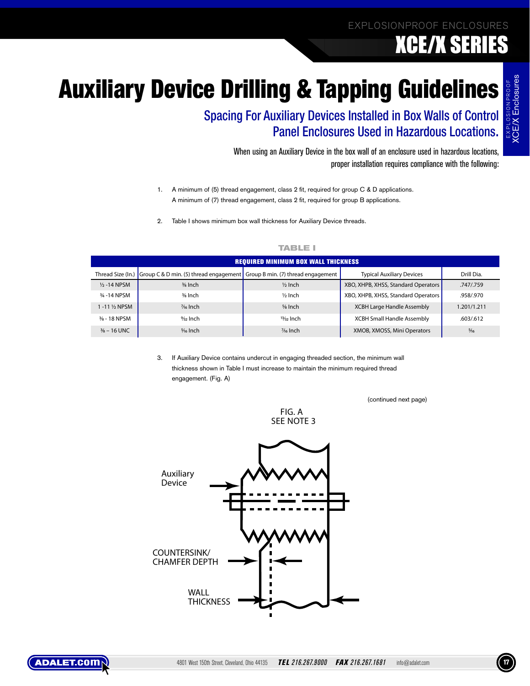XCE/X Enclosures

# **Auxiliary Device Drilling & Tapping Guidelines**

Spacing For Auxiliary Devices Installed in Box Walls of Control Panel Enclosures Used in Hazardous Locations.

> When using an Auxiliary Device in the box wall of an enclosure used in hazardous locations, proper installation requires compliance with the following:

- 1. A minimum of (5) thread engagement, class 2 fit, required for group C & D applications. A minimum of (7) thread engagement, class 2 fit, required for group B applications.
- 2. Table I shows minimum box wall thickness for Auxiliary Device threads.

|                         |                                        | <b>REQUIRED MINIMUM BOX WALL THICKNESS</b> |                                     |                |
|-------------------------|----------------------------------------|--------------------------------------------|-------------------------------------|----------------|
| Thread Size (In.)       | Group C & D min. (5) thread engagement | Group B min. (7) thread engagement         | <b>Typical Auxiliary Devices</b>    | Drill Dia.     |
| $1/2 - 14$ NPSM         | 3/ <sub>8</sub> Inch                   | $\frac{1}{2}$ Inch                         | XBO, XHPB, XHSS, Standard Operators | .747/.759      |
| 3/4 - 14 NPSM           | 3/8 Inch                               | $1/2$ Inch                                 | XBO, XHPB, XHSS, Standard Operators | .958/.970      |
| 1 -11 % NPSM            | % Inch                                 | $5/8$ Inch                                 | <b>XCBH Large Handle Assembly</b>   | 1.201/1.211    |
| $\frac{3}{8}$ - 18 NPSM | $\frac{9}{22}$ Inch                    | $13/32$ Inch                               | <b>XCBH Small Handle Assembly</b>   | .603/.612      |
| $\frac{3}{8}$ – 16 UNC  | $5/16$ Inch                            | % Inch                                     | XMOB, XMOSS, Mini Operators         | $\frac{5}{16}$ |

### **TABLE I**

3. If Auxiliary Device contains undercut in engaging threaded section, the minimum wall thickness shown in Table I must increase to maintain the minimum required thread engagement. (Fig. A)

(continued next page)



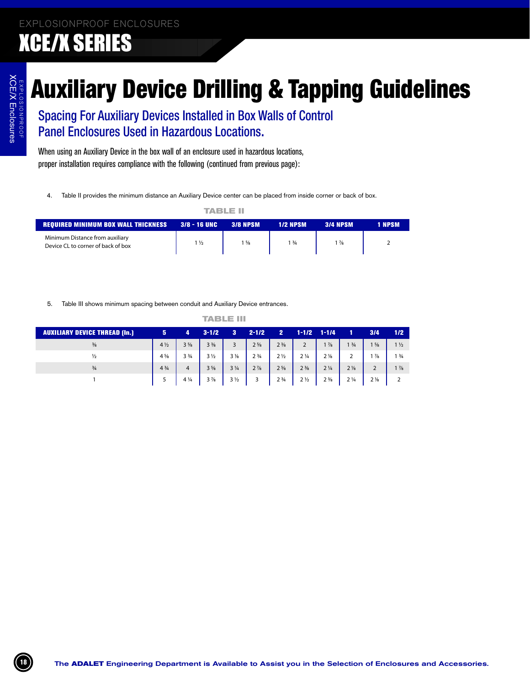# Auxiliary Device Drilling & Tapping Guidelines

|                                                                       |                | TABLE III       |                 |                 |        |
|-----------------------------------------------------------------------|----------------|-----------------|-----------------|-----------------|--------|
| <b>REQUIRED MINIMUM BOX WALL THICKNESS 3/8 - 16 UNC</b>               |                | <b>3/8 NPSM</b> | <b>1/2 NPSM</b> | <b>3/4 NPSM</b> | 1 NPSM |
| Minimum Distance from auxiliary<br>Device CL to corner of back of box | $1\frac{1}{2}$ | $1\frac{5}{8}$  | 13/4            | $1\frac{7}{8}$  |        |

|                               | $3/8 - 16$ UNC<br>$1\frac{1}{2}$ |                                  | <b>3/8 NPSM</b><br>$1\frac{5}{8}$ | <b>1/2 NPSM</b><br>$1\frac{3}{4}$       |                                                                                                                                    | <b>3/4 NPSM</b><br>$1\frac{7}{8}$ |                                               |                                  | 1 NPSM<br>$\overline{2}$         |                                  |
|-------------------------------|----------------------------------|----------------------------------|-----------------------------------|-----------------------------------------|------------------------------------------------------------------------------------------------------------------------------------|-----------------------------------|-----------------------------------------------|----------------------------------|----------------------------------|----------------------------------|
|                               |                                  |                                  |                                   |                                         |                                                                                                                                    |                                   |                                               |                                  |                                  |                                  |
|                               |                                  |                                  |                                   |                                         |                                                                                                                                    |                                   |                                               |                                  |                                  |                                  |
|                               |                                  |                                  |                                   |                                         |                                                                                                                                    |                                   |                                               |                                  |                                  |                                  |
| 4<br>$3\frac{5}{8}$           | $3 - 1/2$<br>$3\frac{3}{8}$      | 3 <sup>2</sup><br>3              | $2 - 1/2$<br>$2\frac{5}{8}$       | 2 <sup>2</sup><br>$2\frac{3}{8}$        | $1 - 1/2$<br>$\overline{2}$                                                                                                        | $1 - 1/4$<br>$1\frac{7}{8}$       | $\mathbf{1}$<br>1 <sup>3</sup> / <sub>4</sub> | 3/4<br>$1\frac{5}{8}$            | 1/2<br>$1\frac{1}{2}$            |                                  |
|                               |                                  |                                  |                                   |                                         |                                                                                                                                    |                                   |                                               |                                  |                                  |                                  |
| 3 <sup>3</sup> / <sub>4</sub> | $3\frac{1}{2}$                   | $3\frac{1}{8}$                   | 2 <sup>3</sup> / <sub>4</sub>     | $2\frac{1}{2}$                          | $2\frac{1}{4}$                                                                                                                     | 2 <sub>8</sub>                    | $\overline{2}$                                | $1\frac{7}{8}$                   | 1 <sup>3</sup> / <sub>4</sub>    |                                  |
|                               |                                  |                                  |                                   |                                         |                                                                                                                                    |                                   |                                               |                                  |                                  |                                  |
|                               |                                  |                                  |                                   |                                         |                                                                                                                                    |                                   |                                               |                                  |                                  |                                  |
|                               |                                  |                                  |                                   |                                         |                                                                                                                                    |                                   |                                               |                                  |                                  |                                  |
|                               |                                  |                                  |                                   |                                         |                                                                                                                                    |                                   |                                               |                                  |                                  |                                  |
|                               |                                  |                                  |                                   |                                         |                                                                                                                                    |                                   |                                               |                                  |                                  |                                  |
|                               | $\overline{4}$<br>$4\frac{1}{4}$ | $3\frac{5}{8}$<br>$3\frac{7}{8}$ | $3\frac{1}{4}$<br>$3\frac{1}{2}$  | <b>TABLE III</b><br>$2\frac{7}{8}$<br>3 | Table III shows minimum spacing between conduit and Auxiliary Device entrances.<br>$2\frac{5}{8}$<br>2 <sup>3</sup> / <sub>4</sub> | $2\frac{3}{8}$<br>$2\frac{1}{2}$  | $2\frac{1}{4}$<br>$2\frac{3}{8}$              | $2\frac{1}{8}$<br>$2\frac{1}{4}$ | $\overline{2}$<br>$2\frac{1}{8}$ | $1\frac{7}{8}$<br>$\overline{2}$ |